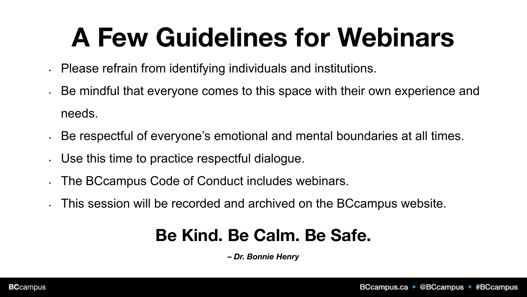# **A Few Guidelines for Webinars**

- Please refrain from identifying individuals and institutions.
- Be mindful that everyone comes to this space with their own experience and needs.
- Be respectful of everyone's emotional and mental boundaries at all times.
- Use this time to practice respectful dialogue.
- The BCcampus Code of Conduct includes webinars.
- This session will be recorded and archived on the BCcampus website.

#### **Be Kind. Be Calm. Be Safe.**

*– Dr. Bonnie Henry*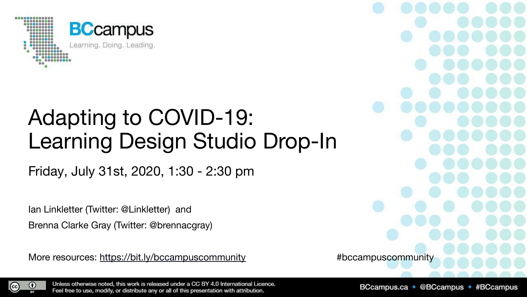

#### Adapting to COVID-19: Learning Design Studio Drop-In

Friday, July 31st, 2020, 1:30 - 2:30 pm

Ian Linkletter (Twitter: @Linkletter) and Brenna Clarke Gray (Twitter: @brennacgray)

More resources:<https://bit.ly/bccampuscommunity>  $\qquad$  #bccampuscommunity

 $\odot$  $_{\rm (cc)}$ 

Unless otherwise noted, this work is released under a CC BY 4.0 International Licence. Feel free to use, modify, or distribute any or all of this presentation with attribution.

BCcampus.ca · @BCcampus · #BCcampus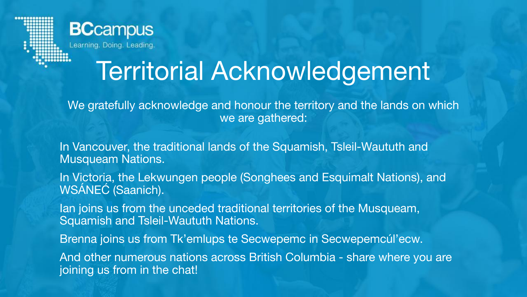

## Territorial Acknowledgement

We gratefully acknowledge and honour the territory and the lands on which we are gathered:

In Vancouver, the traditional lands of the Squamish, Tsleil-Waututh and Musqueam Nations.

In Victoria, the Lekwungen people (Songhees and Esquimalt Nations), and WSÁNEĆ (Saanich).

Ian joins us from the unceded traditional territories of the Musqueam, Squamish and Tsleil-Waututh Nations.

Brenna joins us from Tk'emlups te Secwepemc in Secwepemcúl'ecw.

And other numerous nations across British Columbia - share where you are joining us from in the chat!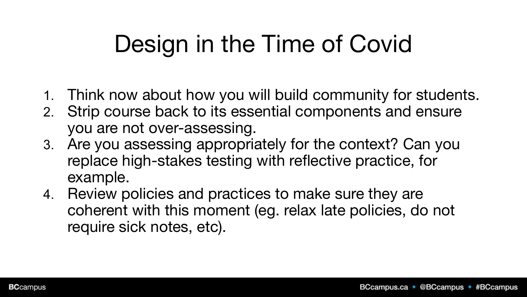## Design in the Time of Covid

- 1. Think now about how you will build community for students.
- 2. Strip course back to its essential components and ensure you are not over-assessing.
- 3. Are you assessing appropriately for the context? Can you replace high-stakes testing with reflective practice, for example.
- 4. Review policies and practices to make sure they are coherent with this moment (eg. relax late policies, do not require sick notes, etc).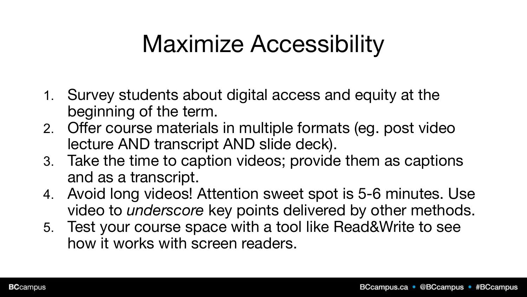#### Maximize Accessibility

- 1. Survey students about digital access and equity at the beginning of the term.
- 2. Offer course materials in multiple formats (eg. post video lecture AND transcript AND slide deck).
- 3. Take the time to caption videos; provide them as captions and as a transcript.
- 4. Avoid long videos! Attention sweet spot is 5-6 minutes. Use video to *underscore* key points delivered by other methods.
- 5. Test your course space with a tool like Read&Write to see how it works with screen readers.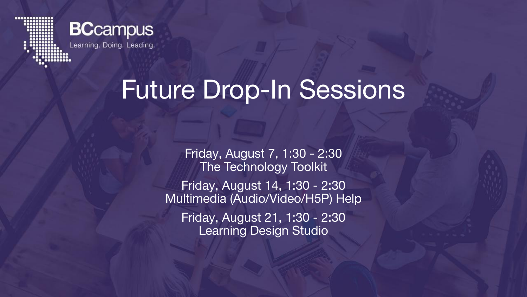

#### **BCcampus**

#### Future Drop-In Sessions

Friday, August 7, 1:30 - 2:30 The Technology Toolkit

Friday, August 14, 1:30 - 2:30 Multimedia (Audio/Video/H5P) Help Friday, August 21, 1:30 - 2:30 Learning Design Studio